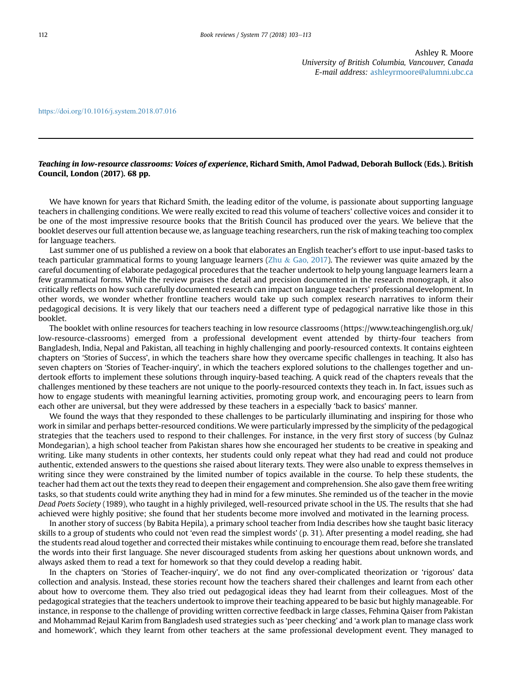<https://doi.org/10.1016/j.system.2018.07.016>

## Teaching in low-resource classrooms: Voices of experience, Richard Smith, Amol Padwad, Deborah Bullock (Eds.). British Council, London (2017). 68 pp.

We have known for years that Richard Smith, the leading editor of the volume, is passionate about supporting language teachers in challenging conditions. We were really excited to read this volume of teachers' collective voices and consider it to be one of the most impressive resource books that the British Council has produced over the years. We believe that the booklet deserves our full attention because we, as language teaching researchers, run the risk of making teaching too complex for language teachers.

Last summer one of us published a review on a book that elaborates an English teacher's effort to use input-based tasks to teach particular grammatical forms to young language learners ( $Zhu \& Gao$  $Zhu \& Gao$ ,  $2017$ ). The reviewer was quite amazed by the careful documenting of elaborate pedagogical procedures that the teacher undertook to help young language learners learn a few grammatical forms. While the review praises the detail and precision documented in the research monograph, it also critically reflects on how such carefully documented research can impact on language teachers' professional development. In other words, we wonder whether frontline teachers would take up such complex research narratives to inform their pedagogical decisions. It is very likely that our teachers need a different type of pedagogical narrative like those in this booklet.

The booklet with online resources for teachers teaching in low resource classrooms (https://www.teachingenglish.org.uk/ low-resource-classrooms) emerged from a professional development event attended by thirty-four teachers from Bangladesh, India, Nepal and Pakistan, all teaching in highly challenging and poorly-resourced contexts. It contains eighteen chapters on 'Stories of Success', in which the teachers share how they overcame specific challenges in teaching. It also has seven chapters on 'Stories of Teacher-inquiry', in which the teachers explored solutions to the challenges together and undertook efforts to implement these solutions through inquiry-based teaching. A quick read of the chapters reveals that the challenges mentioned by these teachers are not unique to the poorly-resourced contexts they teach in. In fact, issues such as how to engage students with meaningful learning activities, promoting group work, and encouraging peers to learn from each other are universal, but they were addressed by these teachers in a especially 'back to basics' manner.

We found the ways that they responded to these challenges to be particularly illuminating and inspiring for those who work in similar and perhaps better-resourced conditions. We were particularly impressed by the simplicity of the pedagogical strategies that the teachers used to respond to their challenges. For instance, in the very first story of success (by Gulnaz Mondegarian), a high school teacher from Pakistan shares how she encouraged her students to be creative in speaking and writing. Like many students in other contexts, her students could only repeat what they had read and could not produce authentic, extended answers to the questions she raised about literary texts. They were also unable to express themselves in writing since they were constrained by the limited number of topics available in the course. To help these students, the teacher had them act out the texts they read to deepen their engagement and comprehension. She also gave them free writing tasks, so that students could write anything they had in mind for a few minutes. She reminded us of the teacher in the movie Dead Poets Society (1989), who taught in a highly privileged, well-resourced private school in the US. The results that she had achieved were highly positive; she found that her students become more involved and motivated in the learning process.

In another story of success (by Babita Hepila), a primary school teacher from India describes how she taught basic literacy skills to a group of students who could not 'even read the simplest words' (p. 31). After presenting a model reading, she had the students read aloud together and corrected their mistakes while continuing to encourage them read, before she translated the words into their first language. She never discouraged students from asking her questions about unknown words, and always asked them to read a text for homework so that they could develop a reading habit.

In the chapters on 'Stories of Teacher-inquiry', we do not find any over-complicated theorization or 'rigorous' data collection and analysis. Instead, these stories recount how the teachers shared their challenges and learnt from each other about how to overcome them. They also tried out pedagogical ideas they had learnt from their colleagues. Most of the pedagogical strategies that the teachers undertook to improve their teaching appeared to be basic but highly manageable. For instance, in response to the challenge of providing written corrective feedback in large classes, Fehmina Qaiser from Pakistan and Mohammad Rejaul Karim from Bangladesh used strategies such as 'peer checking' and 'a work plan to manage class work and homework', which they learnt from other teachers at the same professional development event. They managed to